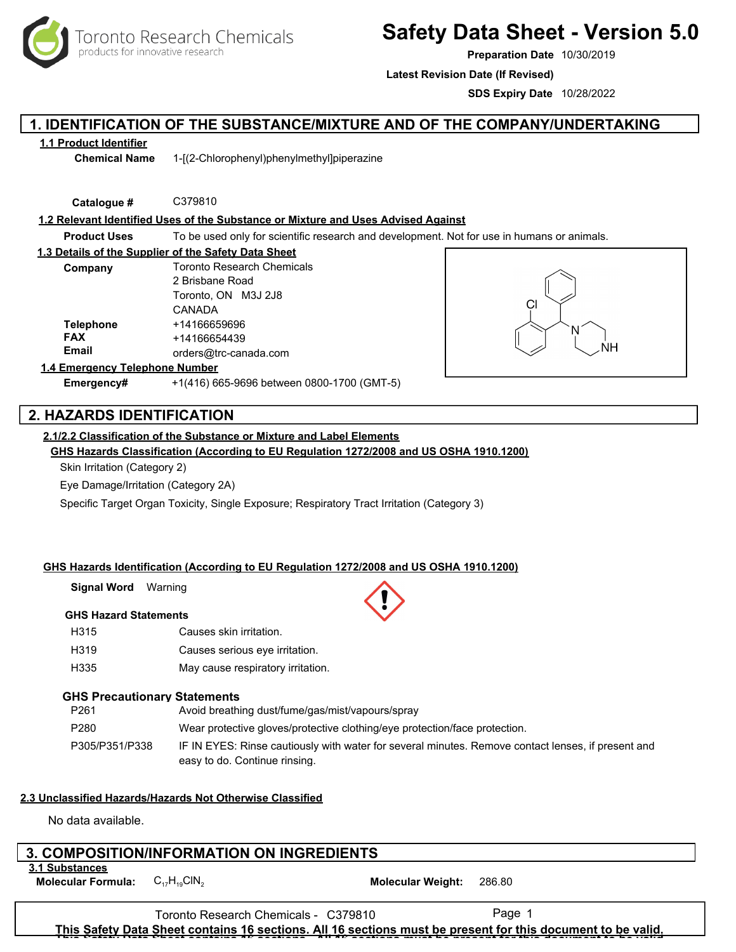

# **Safety Data Sheet - Version 5.0**

**Preparation Date** 10/30/2019

**Latest Revision Date (If Revised)**

**SDS Expiry Date** 10/28/2022

# **1. IDENTIFICATION OF THE SUBSTANCE/MIXTURE AND OF THE COMPANY/UNDERTAKING**

## **1.1 Product Identifier**

**Chemical Name** 1-[(2-Chlorophenyl)phenylmethyl]piperazine

**Catalogue #** C379810

**1.2 Relevant Identified Uses of the Substance or Mixture and Uses Advised Against**

**Product Uses** To be used only for scientific research and development. Not for use in humans or animals.

| 1.3 Details of the Supplier of the Safety Data Sheet |                                   |  |  |  |  |
|------------------------------------------------------|-----------------------------------|--|--|--|--|
| Company                                              | <b>Toronto Research Chemicals</b> |  |  |  |  |
|                                                      | 2 Brisbane Road                   |  |  |  |  |
|                                                      | Toronto, ON M3J 2J8               |  |  |  |  |
|                                                      | CANADA                            |  |  |  |  |
| <b>Telephone</b>                                     | +14166659696                      |  |  |  |  |
| <b>FAX</b>                                           | +14166654439                      |  |  |  |  |
| Email                                                | orders@trc-canada.com             |  |  |  |  |
| 1.4 Emergency Telephone Number                       |                                   |  |  |  |  |



# **Emergency#** +1(416) 665-9696 between 0800-1700 (GMT-5)

# **2. HAZARDS IDENTIFICATION**

# **2.1/2.2 Classification of the Substance or Mixture and Label Elements**

**GHS Hazards Classification (According to EU Regulation 1272/2008 and US OSHA 1910.1200)**

Skin Irritation (Category 2)

Eye Damage/Irritation (Category 2A)

Specific Target Organ Toxicity, Single Exposure; Respiratory Tract Irritation (Category 3)

# **GHS Hazards Identification (According to EU Regulation 1272/2008 and US OSHA 1910.1200)**

**Signal Word** Warning

# **GHS Hazard Statements**

- H315 Causes skin irritation.
- H319 Causes serious eye irritation.
- H335 May cause respiratory irritation.

# **GHS Precautionary Statements**

| P <sub>261</sub> | Avoid breathing dust/fume/gas/mist/vapours/spray                                                                                    |
|------------------|-------------------------------------------------------------------------------------------------------------------------------------|
| P <sub>280</sub> | Wear protective gloves/protective clothing/eye protection/face protection.                                                          |
| P305/P351/P338   | IF IN EYES: Rinse cautiously with water for several minutes. Remove contact lenses, if present and<br>easy to do. Continue rinsing. |

# **2.3 Unclassified Hazards/Hazards Not Otherwise Classified**

No data available.

# **3. COMPOSITION/INFORMATION ON INGREDIENTS**

**3.1 Substances**

**Molecular Formula:**  $C_{17}H_{19}CH_{2}$  **Molecular Weight:** 286.80

Toronto Research Chemicals - C379810 Page 1 **This Safety Data Sheet contains 16 sections. All 16 sections must be present for this document to be valid. This Safety Data Sheet contains 16 sections. All 16 sections must be present for this document to be valid.**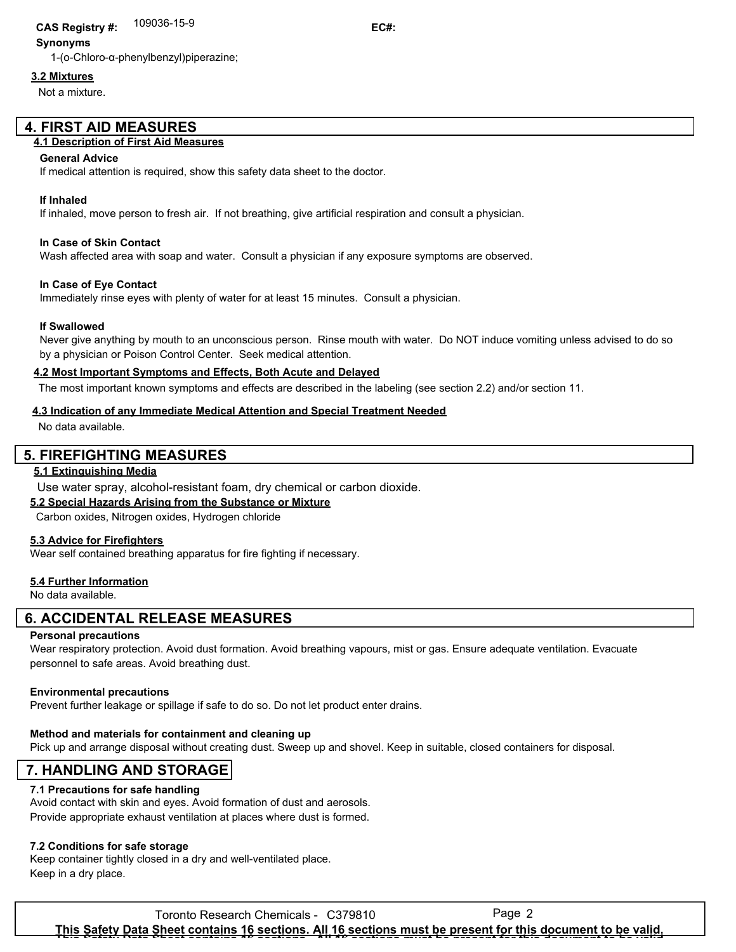# 109036-15-9 **CAS Registry #: EC#:**

## **Synonyms**

1-(o-Chloro-α-phenylbenzyl)piperazine;

## **3.2 Mixtures**

Not a mixture.

# **4. FIRST AID MEASURES**

## **4.1 Description of First Aid Measures**

#### **General Advice**

If medical attention is required, show this safety data sheet to the doctor.

#### **If Inhaled**

If inhaled, move person to fresh air. If not breathing, give artificial respiration and consult a physician.

#### **In Case of Skin Contact**

Wash affected area with soap and water. Consult a physician if any exposure symptoms are observed.

#### **In Case of Eye Contact**

Immediately rinse eyes with plenty of water for at least 15 minutes. Consult a physician.

#### **If Swallowed**

Never give anything by mouth to an unconscious person. Rinse mouth with water. Do NOT induce vomiting unless advised to do so by a physician or Poison Control Center. Seek medical attention.

#### **4.2 Most Important Symptoms and Effects, Both Acute and Delayed**

The most important known symptoms and effects are described in the labeling (see section 2.2) and/or section 11.

#### **4.3 Indication of any Immediate Medical Attention and Special Treatment Needed**

No data available.

# **5. FIREFIGHTING MEASURES**

#### **5.1 Extinguishing Media**

Use water spray, alcohol-resistant foam, dry chemical or carbon dioxide.

#### **5.2 Special Hazards Arising from the Substance or Mixture**

Carbon oxides, Nitrogen oxides, Hydrogen chloride

#### **5.3 Advice for Firefighters**

Wear self contained breathing apparatus for fire fighting if necessary.

#### **5.4 Further Information**

No data available.

# **6. ACCIDENTAL RELEASE MEASURES**

#### **Personal precautions**

Wear respiratory protection. Avoid dust formation. Avoid breathing vapours, mist or gas. Ensure adequate ventilation. Evacuate personnel to safe areas. Avoid breathing dust.

#### **Environmental precautions**

Prevent further leakage or spillage if safe to do so. Do not let product enter drains.

#### **Method and materials for containment and cleaning up**

Pick up and arrange disposal without creating dust. Sweep up and shovel. Keep in suitable, closed containers for disposal.

# **7. HANDLING AND STORAGE**

#### **7.1 Precautions for safe handling**

Avoid contact with skin and eyes. Avoid formation of dust and aerosols. Provide appropriate exhaust ventilation at places where dust is formed.

# **7.2 Conditions for safe storage**

Keep container tightly closed in a dry and well-ventilated place. Keep in a dry place.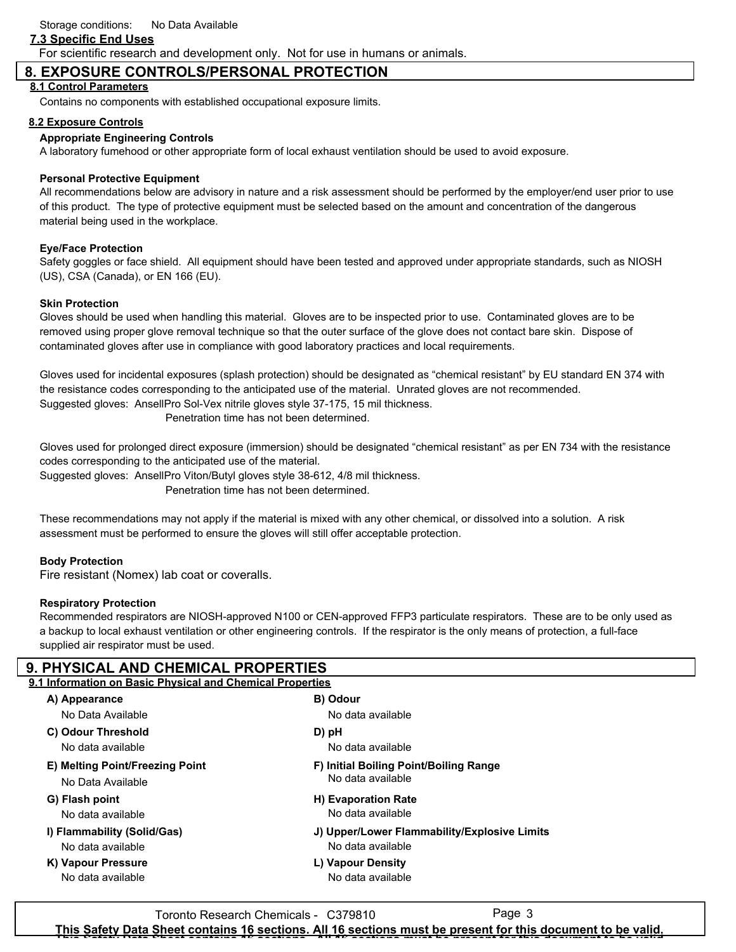# **7.3 Specific End Uses**

For scientific research and development only. Not for use in humans or animals.

# **8. EXPOSURE CONTROLS/PERSONAL PROTECTION**

## **8.1 Control Parameters**

Contains no components with established occupational exposure limits.

### **8.2 Exposure Controls**

### **Appropriate Engineering Controls**

A laboratory fumehood or other appropriate form of local exhaust ventilation should be used to avoid exposure.

## **Personal Protective Equipment**

All recommendations below are advisory in nature and a risk assessment should be performed by the employer/end user prior to use of this product. The type of protective equipment must be selected based on the amount and concentration of the dangerous material being used in the workplace.

## **Eye/Face Protection**

Safety goggles or face shield. All equipment should have been tested and approved under appropriate standards, such as NIOSH (US), CSA (Canada), or EN 166 (EU).

### **Skin Protection**

Gloves should be used when handling this material. Gloves are to be inspected prior to use. Contaminated gloves are to be removed using proper glove removal technique so that the outer surface of the glove does not contact bare skin. Dispose of contaminated gloves after use in compliance with good laboratory practices and local requirements.

Gloves used for incidental exposures (splash protection) should be designated as "chemical resistant" by EU standard EN 374 with the resistance codes corresponding to the anticipated use of the material. Unrated gloves are not recommended. Suggested gloves: AnsellPro Sol-Vex nitrile gloves style 37-175, 15 mil thickness. Penetration time has not been determined.

Gloves used for prolonged direct exposure (immersion) should be designated "chemical resistant" as per EN 734 with the resistance codes corresponding to the anticipated use of the material.

Suggested gloves: AnsellPro Viton/Butyl gloves style 38-612, 4/8 mil thickness.

Penetration time has not been determined.

These recommendations may not apply if the material is mixed with any other chemical, or dissolved into a solution. A risk assessment must be performed to ensure the gloves will still offer acceptable protection.

### **Body Protection**

Fire resistant (Nomex) lab coat or coveralls.

### **Respiratory Protection**

Recommended respirators are NIOSH-approved N100 or CEN-approved FFP3 particulate respirators. These are to be only used as a backup to local exhaust ventilation or other engineering controls. If the respirator is the only means of protection, a full-face supplied air respirator must be used.

| <b>9. PHYSICAL AND CHEMICAL PROPERTIES</b>                |                                              |  |  |  |  |  |
|-----------------------------------------------------------|----------------------------------------------|--|--|--|--|--|
| 9.1 Information on Basic Physical and Chemical Properties |                                              |  |  |  |  |  |
| A) Appearance                                             | B) Odour                                     |  |  |  |  |  |
| No Data Available                                         | No data available                            |  |  |  |  |  |
| C) Odour Threshold                                        | D) pH                                        |  |  |  |  |  |
| No data available                                         | No data available                            |  |  |  |  |  |
| E) Melting Point/Freezing Point                           | F) Initial Boiling Point/Boiling Range       |  |  |  |  |  |
| No Data Available                                         | No data available                            |  |  |  |  |  |
| G) Flash point                                            | H) Evaporation Rate                          |  |  |  |  |  |
| No data available                                         | No data available                            |  |  |  |  |  |
| I) Flammability (Solid/Gas)                               | J) Upper/Lower Flammability/Explosive Limits |  |  |  |  |  |
| No data available                                         | No data available                            |  |  |  |  |  |
| K) Vapour Pressure                                        | L) Vapour Density                            |  |  |  |  |  |
| No data available                                         | No data available                            |  |  |  |  |  |
|                                                           |                                              |  |  |  |  |  |

Toronto Research Chemicals - C379810 **This Safety Data Sheet contains 16 sections. All 16 sections must be present for this document to be valid. This Safety Data Sheet contains 16 sections. All 16 sections must be present for this document to be valid.**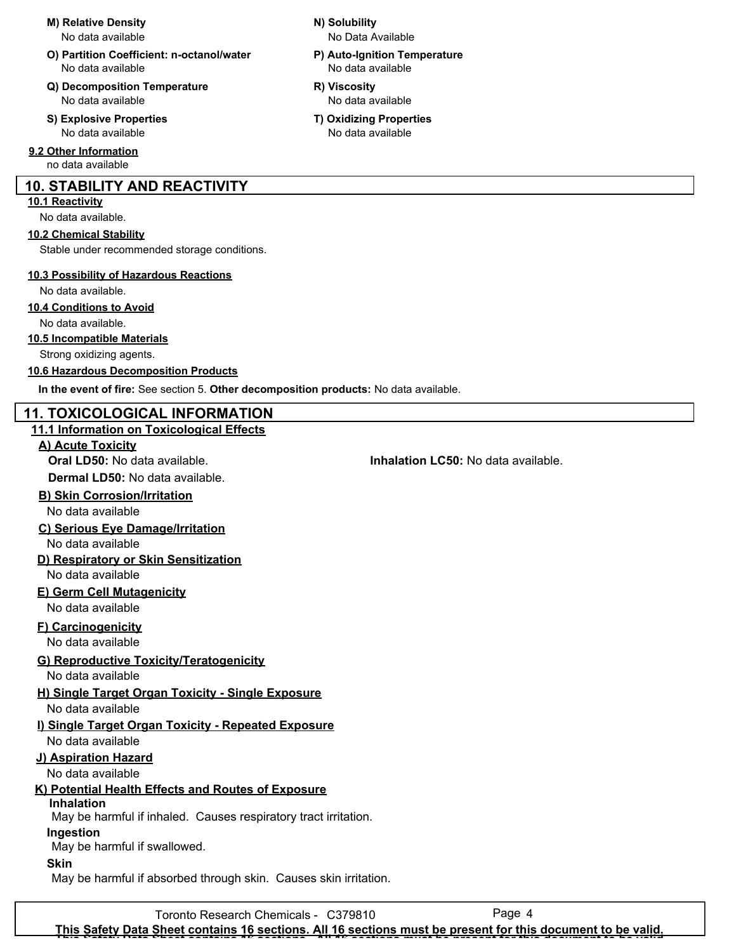#### **M) Relative Density N) Solubility**

No data available

- **O) Partition Coefficient: n-octanol/water P) Auto-Ignition Temperature** No data available No data available
- **Q) Decomposition Temperature R) Viscosity** No data available No data available
- No data available No data available

**9.2 Other Information**

no data available

# **10. STABILITY AND REACTIVITY**

## **10.1 Reactivity**

No data available.

# **10.2 Chemical Stability**

Stable under recommended storage conditions.

# **10.3 Possibility of Hazardous Reactions**

No data available.

## **10.4 Conditions to Avoid**

No data available.

# **10.5 Incompatible Materials**

Strong oxidizing agents.

# **10.6 Hazardous Decomposition Products**

**In the event of fire:** See section 5. **Other decomposition products:** No data available.

# **11. TOXICOLOGICAL INFORMATION**

**11.1 Information on Toxicological Effects A) Acute Toxicity Oral LD50:** No data available. **Inhalation LC50:** No data available. **Dermal LD50:** No data available. **B) Skin Corrosion/Irritation C) Serious Eye Damage/Irritation D) Respiratory or Skin Sensitization E) Germ Cell Mutagenicity F) Carcinogenicity G) Reproductive Toxicity/Teratogenicity H) Single Target Organ Toxicity - Single Exposure I) Single Target Organ Toxicity - Repeated Exposure J) Aspiration Hazard K) Potential Health Effects and Routes of Exposure Inhalation** No data available No data available No data available No data available No data available No data available No data available No data available No data available May be harmful if inhaled. Causes respiratory tract irritation. May be harmful if swallowed. May be harmful if absorbed through skin. Causes skin irritation. **Ingestion Skin**

- - No Data Available
- -
- **S) Explosive Properties T) Oxidizing Properties**
	-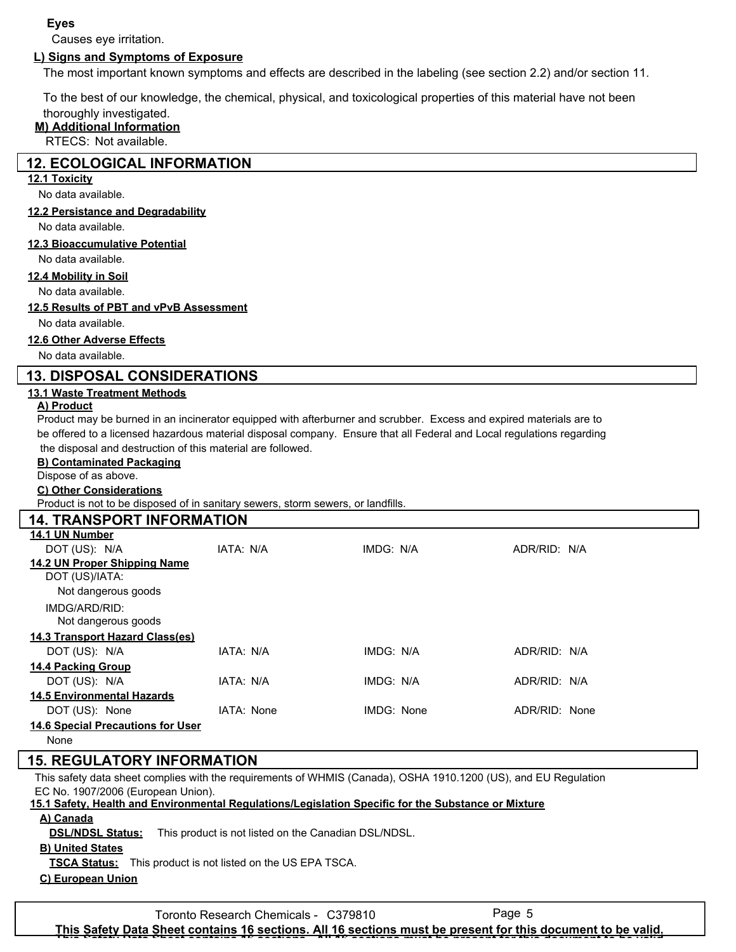## **Eyes**

Causes eye irritation.

# **L) Signs and Symptoms of Exposure**

The most important known symptoms and effects are described in the labeling (see section 2.2) and/or section 11.

To the best of our knowledge, the chemical, physical, and toxicological properties of this material have not been

# thoroughly investigated.

**M) Additional Information** RTECS: Not available.

# **12. ECOLOGICAL INFORMATION**

## **12.1 Toxicity**

No data available.

#### **12.2 Persistance and Degradability**

No data available.

#### **12.3 Bioaccumulative Potential**

No data available.

### **12.4 Mobility in Soil**

No data available.

#### **12.5 Results of PBT and vPvB Assessment**

No data available.

#### **12.6 Other Adverse Effects**

No data available.

## **13. DISPOSAL CONSIDERATIONS**

#### **13.1 Waste Treatment Methods**

#### **A) Product**

Product may be burned in an incinerator equipped with afterburner and scrubber. Excess and expired materials are to be offered to a licensed hazardous material disposal company. Ensure that all Federal and Local regulations regarding the disposal and destruction of this material are followed.

### **B) Contaminated Packaging**

Dispose of as above.

#### **C) Other Considerations**

Product is not to be disposed of in sanitary sewers, storm sewers, or landfills.

| <b>14. TRANSPORT INFORMATION</b>         |            |            |               |  |  |  |  |
|------------------------------------------|------------|------------|---------------|--|--|--|--|
| 14.1 UN Number                           |            |            |               |  |  |  |  |
| DOT (US): N/A                            | IATA: N/A  | IMDG: N/A  | ADR/RID: N/A  |  |  |  |  |
| 14.2 UN Proper Shipping Name             |            |            |               |  |  |  |  |
| DOT (US)/IATA:                           |            |            |               |  |  |  |  |
| Not dangerous goods                      |            |            |               |  |  |  |  |
| IMDG/ARD/RID:                            |            |            |               |  |  |  |  |
| Not dangerous goods                      |            |            |               |  |  |  |  |
| 14.3 Transport Hazard Class(es)          |            |            |               |  |  |  |  |
| DOT (US): N/A                            | IATA: N/A  | IMDG: N/A  | ADR/RID: N/A  |  |  |  |  |
| <b>14.4 Packing Group</b>                |            |            |               |  |  |  |  |
| DOT (US): N/A                            | IATA: N/A  | IMDG: N/A  | ADR/RID: N/A  |  |  |  |  |
| <b>14.5 Environmental Hazards</b>        |            |            |               |  |  |  |  |
| DOT (US): None                           | IATA: None | IMDG: None | ADR/RID: None |  |  |  |  |
| <b>14.6 Special Precautions for User</b> |            |            |               |  |  |  |  |
| None                                     |            |            |               |  |  |  |  |

# **15. REGULATORY INFORMATION**

This safety data sheet complies with the requirements of WHMIS (Canada), OSHA 1910.1200 (US), and EU Regulation EC No. 1907/2006 (European Union).

# **15.1 Safety, Health and Environmental Regulations/Legislation Specific for the Substance or Mixture**

**A) Canada**

**DSL/NDSL Status:** This product is not listed on the Canadian DSL/NDSL.

### **B) United States**

**TSCA Status:** This product is not listed on the US EPA TSCA.

#### **C) European Union**

Toronto Research Chemicals - C379810 Page 5

**This Safety Data Sheet contains 16 sections. All 16 sections must be present for this document to be valid. This Safety Data Sheet contains 16 sections. All 16 sections must be present for this document to be valid.**